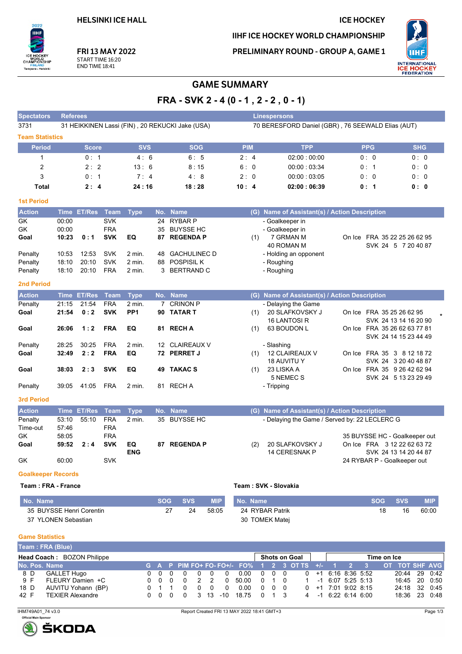### **ICE HOCKEY**

IIHF ICE HOCKEY WORLD CHAMPIONSHIP

PRELIMINARY ROUND - GROUP A, GAME 1



FRI 13 MAY 2022 START TIME 16:20 **END TIME 18:41** 

# **GAME SUMMARY**

FRA - SVK 2 - 4 (0 - 1, 2 - 2, 0 - 1)

| <b>Speciators</b>      | <b>Relerees</b>                                 |             |            |             | <b>Linespersons</b>                               |            |            |
|------------------------|-------------------------------------------------|-------------|------------|-------------|---------------------------------------------------|------------|------------|
| 3731                   | 31 HEIKKINEN Lassi (FIN), 20 REKUCKI Jake (USA) |             |            |             | 70 BERESFORD Daniel (GBR), 76 SEEWALD Elias (AUT) |            |            |
| <b>Team Statistics</b> |                                                 |             |            |             |                                                   |            |            |
| <b>Period</b>          | <b>Score</b>                                    | <b>SVS</b>  | <b>SOG</b> | <b>PIM</b>  | <b>TPP</b>                                        | <b>PPG</b> | <b>SHG</b> |
|                        | 0:1                                             | 4:6         | 6:5        | $2 \cdot 4$ | 02:00:00:00                                       | 0:0        | 0:0        |
| 2                      | $2 \cdot 2$                                     | 13:6        | 8:15       | 6:0         | 00:00:03:34                                       | 0:1        | 0:0        |
| 3                      | 0:1                                             | $7 \cdot 4$ | 4:8        | 2:0         | 00:00:03:05                                       | 0:0        | 0:0        |
| Total                  | 2:4                                             | 24:16       | 18:28      | 10:4        | 02:00:06:39                                       | 0:1        | 0:0        |
|                        |                                                 |             |            |             |                                                   |            |            |

#### **1st Period**

 $2022$ IIHF

Tampere - Helsinki

 $\frac{1}{2}$ 

,<br>SHIP

**CHAM** 

| <b>Action</b> |       | Time ET/Res Team Type |            |                  | No. Name        |     | (G) Name of Assistant(s) / Action Description |                              |
|---------------|-------|-----------------------|------------|------------------|-----------------|-----|-----------------------------------------------|------------------------------|
| GK            | 00:00 |                       | <b>SVK</b> |                  | 24 RYBAR P      |     | - Goalkeeper in                               |                              |
| GK            | 00:00 |                       | <b>FRA</b> |                  | 35 BUYSSE HC    |     | - Goalkeeper in                               |                              |
| Goal          | 10:23 | 0:1                   | <b>SVK</b> | EQ               | 87 REGENDA P    | (1) | 7 GRMAN M                                     | On Ice FRA 35 22 25 26 62 95 |
|               |       |                       |            |                  |                 |     | 40 ROMAN M                                    | SVK 24 5 7 20 40 87          |
| Penalty       | 10:53 | 12:53                 | <b>SVK</b> | $2$ min.         | 48 GACHULINEC D |     | - Holding an opponent                         |                              |
| Penalty       | 18:10 | 20:10                 | <b>SVK</b> | 2 min.           | 88 POSPISIL K   |     | - Roughing                                    |                              |
| Penalty       | 18:10 | 20:10                 | <b>FRA</b> | $2 \text{ min.}$ | 3 BERTRAND C    |     | - Roughing                                    |                              |

#### **2nd Period**

| <b>Action</b>     |       | Time ET/Res Team |            | <b>Type</b>     |    | No. Name       | (G) | Name of Assistant(s) / Action Description |        |                                             |
|-------------------|-------|------------------|------------|-----------------|----|----------------|-----|-------------------------------------------|--------|---------------------------------------------|
| Penalty           | 21:15 | 21:54            | <b>FRA</b> | $2$ min.        |    | 7 CRINON P     |     | - Delaying the Game                       |        |                                             |
| Goal              | 21:54 | 0:2              | <b>SVK</b> | PP <sub>1</sub> |    | 90 TATAR T     | (1) | 20 SLAFKOVSKY J<br>16 LANTOSI R           | On Ice | FRA 35 25 26 62 95<br>SVK 24 13 14 16 20 90 |
| Goal              | 26:06 | 1:2              | <b>FRA</b> | EQ              | 81 | <b>RECHA</b>   | (1) | 63 BOUDON L                               | On Ice | FRA 35 26 62 63 77 81                       |
|                   |       |                  |            |                 |    |                |     |                                           |        | SVK 24 14 15 23 44 49                       |
| Penalty           | 28:25 | 30:25            | <b>FRA</b> | $2$ min.        |    | 12 CLAIREAUX V |     | - Slashing                                |        |                                             |
| Goal              | 32:49 | 2:2              | <b>FRA</b> | EQ              |    | 72 PERRET J    | (1) | 12 CLAIREAUX V                            |        | On Ice FRA 35 3 8 12 18 72                  |
|                   |       |                  |            |                 |    |                |     | <b>18 AUVITU Y</b>                        |        | SVK 24 3 20 40 48 87                        |
| Goal              | 38:03 | 2:3              | <b>SVK</b> | EQ              | 49 | <b>TAKAC S</b> | (1) | 23 LISKA A                                | On Ice | FRA 35 9 26 42 62 94                        |
|                   |       |                  |            |                 |    |                |     | 5 NEMEC S                                 |        | SVK 24 5 13 23 29 49                        |
| Penalty           | 39:05 | 41:05            | <b>FRA</b> | 2 min.          | 81 | <b>RECHA</b>   |     | - Tripping                                |        |                                             |
| <b>3rd Period</b> |       |                  |            |                 |    |                |     |                                           |        |                                             |

| <b>Action</b> |       | Time ET/Res Team Type |            |                   | (G) Name of Assistant(s) / Action Description<br>No. Name |                                                       |  |  |  |  |  |
|---------------|-------|-----------------------|------------|-------------------|-----------------------------------------------------------|-------------------------------------------------------|--|--|--|--|--|
| Penalty       |       | 53:10 55:10           | <b>FRA</b> | $2 \text{ min}$ . | 35 BUYSSE HC                                              | - Delaying the Game / Served by: 22 LECLERC G         |  |  |  |  |  |
| Time-out      | 57:46 |                       | FRA        |                   |                                                           |                                                       |  |  |  |  |  |
| GK.           | 58:05 |                       | FRA        |                   |                                                           | 35 BUYSSE HC - Goalkeeper out                         |  |  |  |  |  |
| Goal          |       | 59:52 2:4             | <b>SVK</b> | EQ                | 87 REGENDA P                                              | On Ice FRA 3 12 22 62 63 72<br>20 SLAFKOVSKY J<br>(2) |  |  |  |  |  |
|               |       |                       |            | <b>ENG</b>        |                                                           | SVK 24 13 14 20 44 87<br>14 CERESNAK P                |  |  |  |  |  |
| GK            | 60:00 |                       | <b>SVK</b> |                   |                                                           | 24 RYBAR P - Goalkeeper out                           |  |  |  |  |  |

#### **Goalkeeper Records**

#### Team: FRA - France

| Team: SVK - Slovakia |  |
|----------------------|--|
|----------------------|--|

| No. Name                 | <b>SOG</b> | <b>SVS</b> | <b>MIP</b> | No. Name        | <b>SOG</b> | <b>SVS</b> | <b>MIP</b> |
|--------------------------|------------|------------|------------|-----------------|------------|------------|------------|
| 35 BUYSSE Henri Corentin | 27         | 24         | 58:05      | 24 RYBAR Patrik |            | 16         | 60:00      |
| 37 YLONEN Sebastian      |            |            |            | 30 TOMEK Matej  |            |            |            |

### **Game Statistics**

|               | [Team : FRA (Blue)]        |  |     |  |      |    |  |          |                                                                  |                     |            |  |                     |  |                       |             |               |  |
|---------------|----------------------------|--|-----|--|------|----|--|----------|------------------------------------------------------------------|---------------------|------------|--|---------------------|--|-----------------------|-------------|---------------|--|
|               | Head Coach: BOZON Philippe |  |     |  |      |    |  |          |                                                                  | Shots on Goal       |            |  |                     |  |                       | Time on Ice |               |  |
| No. Pos. Name |                            |  |     |  |      |    |  |          | G A P PIM FO+ FO- FO+/- FO% 1 2 3 OT TS +/- 1 2 3 OT TOT SHF AVG |                     |            |  |                     |  |                       |             |               |  |
| 8 D           | <b>GALLET Hugo</b>         |  | 000 |  |      |    |  | 0        | 0.00                                                             | $0\quad 0\quad 0$   |            |  |                     |  | $0 + 1616836552$      |             | 20:44 29 0:42 |  |
| 9 F           | FLEURY Damien +C           |  | 000 |  |      | 22 |  | $\Omega$ | 50.00                                                            | $0 \quad 1 \quad 0$ |            |  | 1 -1 6:07 5:25 5:13 |  |                       |             | 16:45 20 0:50 |  |
| 18 D          | AUVITU Yohann (BP)         |  |     |  |      |    |  | $\Omega$ | 0.00                                                             | $\Omega$            | $0\quad 0$ |  |                     |  | $0 +1$ 7:01 9:02 8:15 |             | 24:18 32 0:45 |  |
| 42 F          | TEXIER Alexandre           |  |     |  | 0000 |    |  |          | 3 13 -10 18.75 0                                                 |                     |            |  |                     |  | $4 -1$ 6.22 6.14 6.00 |             | 18:36 23 0:48 |  |

IHM749A01\_74 v3.0

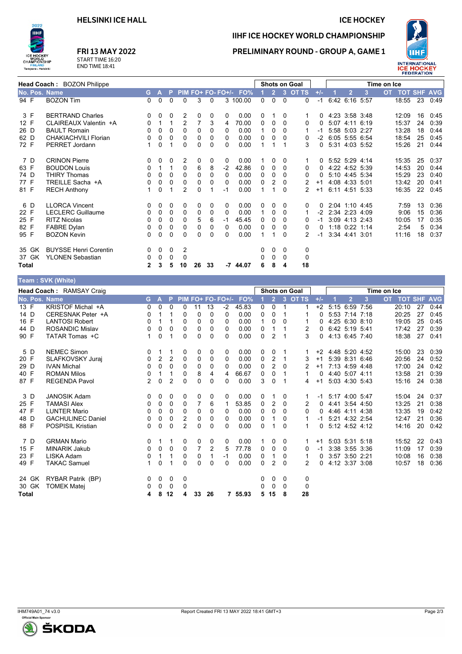**HELSINKI ICE HALL** 

#### **ICE HOCKEY**



# FRI 13 MAY 2022

START TIME 16:20<br>END TIME 18:41

# PRELIMINARY ROUND - GROUP A, GAME 1

IIHF ICE HOCKEY WORLD CHAMPIONSHIP



| <b>Head Coach: BOZON Philippe</b> |                              |              |              |          |                | <b>Shots on Goal</b> |                   |          |            |          | Time on Ice    |                         |               |          |  |                |      |           |                    |    |      |
|-----------------------------------|------------------------------|--------------|--------------|----------|----------------|----------------------|-------------------|----------|------------|----------|----------------|-------------------------|---------------|----------|--|----------------|------|-----------|--------------------|----|------|
| No. Pos. Name                     |                              | G.           | $\mathbf{A}$ | P        |                |                      | PIM FO+ FO- FO+/- |          | FO%        |          | $\overline{2}$ | $\overline{\mathbf{3}}$ | <b>OT TS</b>  | $+/-$    |  | $\mathbf{2}$   | 3    | <b>OT</b> | <b>TOT SHF AVG</b> |    |      |
| 94 F                              | <b>BOZON Tim</b>             | $\Omega$     | $\mathbf 0$  | $\Omega$ | 0              | 3                    | $\Omega$          |          | 3 100.00   | 0        | $\mathbf{0}$   | $\Omega$                | $\Omega$      | $-1$     |  | 6:42 6:16 5:57 |      |           | 18:55              | 23 | 0:49 |
| 3 F                               | <b>BERTRAND Charles</b>      | $\mathbf 0$  | 0            | 0        | 2              | 0                    | 0                 | 0        | 0.00       | 0        |                | 0                       |               | $\Omega$ |  | 4.23 3.58 3.48 |      |           | 12:09              | 16 | 0:45 |
| 12 F                              | CLAIREAUX Valentin +A        | 0            | 1            | 1        | $\overline{2}$ | 7                    | 3                 | 4        | 70.00      | $\Omega$ | $\Omega$       | $\Omega$                | 0             | 0        |  | 5.07 4.11      | 6:19 |           | 15:37              | 24 | 0:39 |
| 26 D                              | <b>BAULT Romain</b>          | 0            | 0            | 0        | 0              | 0                    | $\Omega$          | 0        | 0.00       | 1        | 0              | $\Omega$                |               | -1       |  | 5:58 5:03 2:27 |      |           | 13:28              | 18 | 0:44 |
| 62 D                              | CHAKIACHVILI Florian         | 0            | 0            | 0        | 0              | 0                    | $\Omega$          | 0        | 0.00       | 0        | 0              | $\Omega$                | 0             | $-2$     |  | 6:05 5:55 6:54 |      |           | 18:54              | 25 | 0:45 |
| 72 F                              | <b>PERRET Jordann</b>        | 1            | 0            | 1        | 0              | 0                    | $\Omega$          | 0        | 0.00       | 1        | 1              |                         | 3             | 0        |  | 5:31 4:03 5:52 |      |           | 15:26              | 21 | 0:44 |
| 7 D                               | <b>CRINON Pierre</b>         | $\mathbf 0$  | 0            | 0        | 2              | 0                    | 0                 | 0        | 0.00       |          | 0              | 0                       |               | 0        |  | 5:52 5:29 4:14 |      |           | 15:35              | 25 | 0:37 |
| 63 F                              | <b>BOUDON Louis</b>          | 0            | 1            | 1        | 0              | 6                    | 8                 | $-2$     | 42.86      | 0        | 0              | $\Omega$                | 0             | 0        |  | 4:22 4:52 5:39 |      |           | 14:53              | 20 | 0:44 |
| 74 D                              | <b>THIRY Thomas</b>          | $\Omega$     | 0            | $\Omega$ | 0              | 0                    | 0                 | 0        | 0.00       | $\Omega$ | 0              | 0                       | 0             | 0        |  | 5:10 4:45 5:34 |      |           | 15:29              | 23 | 0:40 |
| 77 F                              | TREILLE Sacha +A             | 0            | 0            | $\Omega$ | 0              | 0                    | $\Omega$          | 0        | 0.00       | $\Omega$ | 2              | $\Omega$                | 2             | $+1$     |  | 4:08 4:33 5:01 |      |           | 13:42              | 20 | 0:41 |
| 81 F                              | <b>RECH Anthony</b>          | 1            | 0            |          | $\overline{2}$ | 0                    |                   | -1       | 0.00       |          | 1              | $\Omega$                |               | $+1$     |  | 6:11 4:51 5:33 |      |           | 16:35              | 22 | 0:45 |
| 6 D                               | <b>LLORCA Vincent</b>        | 0            | 0            | 0        | 0              | 0                    | 0                 | 0        | 0.00       | 0        | 0              | 0                       | 0             | 0        |  | 2:04 1:10 4:45 |      |           | 7:59               | 13 | 0:36 |
| 22 F                              | <b>LECLERC Guillaume</b>     | 0            | 0            | 0        | 0              | 0                    | 0                 | 0        | 0.00       | 1        | 0              | 0                       |               | -2       |  | 2:34 2:23 4:09 |      |           | 9:06               | 15 | 0:36 |
| 25 F                              | <b>RITZ Nicolas</b>          | $\mathbf{0}$ | 0            | $\Omega$ | 0              | 5                    | 6                 | -1       | 45.45      | $\Omega$ | 0              | 0                       | 0             | -1       |  | 3:09 4:13 2:43 |      |           | 10:05              | 17 | 0:35 |
| 82 F                              | <b>FABRE Dylan</b>           | 0            | 0            | $\Omega$ | 0              | 0                    | $\Omega$          | $\Omega$ | 0.00       | 0        | 0              | $\Omega$                | 0             | 0        |  | 1:18 0:22 1:14 |      |           | 2:54               | 5  | 0:34 |
| 95 F                              | <b>BOZON Kevin</b>           | 0            | 0            | $\Omega$ | 0              | 0                    | $\Omega$          | 0        | 0.00       | 1        | $\mathbf 1$    | $\Omega$                | $\mathcal{P}$ | -1       |  | 3:34 4:41 3:01 |      |           | 11:16              | 18 | 0:37 |
| 35 GK                             | <b>BUYSSE Henri Corentin</b> | 0            | 0            | 0        | 2              |                      |                   |          |            | 0        | 0              | $\Omega$                | 0             |          |  |                |      |           |                    |    |      |
| 37 GK                             | <b>YLONEN Sebastian</b>      | 0            | 0            | 0        | 0              |                      |                   |          |            | 0        | 0              | 0                       | 0             |          |  |                |      |           |                    |    |      |
| Total                             |                              | $\mathbf{2}$ | 3            | 5        | 10             | 26                   | 33                |          | $-7$ 44.07 | 6        | 8              | 4                       | 18            |          |  |                |      |           |                    |    |      |
|                                   | Team · SVK (White)           |              |              |          |                |                      |                   |          |            |          |                |                         |               |          |  |                |      |           |                    |    |      |

|       |       | $1$ vant to via $(1)$ into |                |                |                |                |                |                |                   |         |          |                |           |                      |       |                |   |             |                |    |            |
|-------|-------|----------------------------|----------------|----------------|----------------|----------------|----------------|----------------|-------------------|---------|----------|----------------|-----------|----------------------|-------|----------------|---|-------------|----------------|----|------------|
|       |       | Head Coach: RAMSAY Craig   |                |                |                |                |                |                |                   |         |          |                |           | <b>Shots on Goal</b> |       |                |   | Time on Ice |                |    |            |
|       |       | No. Pos. Name              | G.             | $\mathbf{A}$   | P              |                |                |                | PIM FO+ FO- FO+/- | FO%     |          | 2 <sup>7</sup> | $\bullet$ | <b>OT TS</b>         | $+/-$ | $\overline{2}$ | 3 | <b>OT</b>   | <b>TOT SHF</b> |    | <b>AVG</b> |
| 13 F  |       | <b>KRISTOF Michal +A</b>   | 0              | 0              | $\Omega$       | 0              | 11             | 13             | $-2$              | 45.83   | 0        | 0              | -1        |                      | $+2$  | 5:15 6:59 7:56 |   |             | 20:10          | 27 | 0:44       |
| 14 D  |       | CERESNAK Peter +A          | 0              |                |                | 0              | $\Omega$       | 0              | 0                 | 0.00    | 0        | 0              |           |                      | 0     | 5:53 7:14 7:18 |   |             | 20:25          | 27 | 0:45       |
| 16 F  |       | <b>LANTOSI Robert</b>      | 0              |                |                | 0              | 0              | 0              | 0                 | 0.00    |          | 0              | $\Omega$  |                      | 0     | 4:25 6:30 8:10 |   |             | 19:05          | 25 | 0:45       |
| 44 D  |       | <b>ROSANDIC Mislav</b>     | 0              | 0              | 0              | $\Omega$       | $\Omega$       | 0              | 0                 | 0.00    | 0        |                |           | 2                    | 0     | 6:42 5:19 5:41 |   |             | 17:42          | 27 | 0:39       |
| 90 F  |       | TATAR Tomas +C             | 1              | 0              |                | $\Omega$       | 0              | 0              | 0                 | 0.00    | 0        | 2              | 1         | 3                    | 0     | 4:13 6:45 7:40 |   |             | 18:38          | 27 | 0:41       |
|       | 5 D   | <b>NEMEC Simon</b>         | 0              | 1              |                | 0              | 0              | 0              | 0                 | 0.00    | 0        | 0              |           | -1                   | $+2$  | 4.48 5.20 4.52 |   |             | 15:00          | 23 | 0:39       |
| 20 F  |       | SLAFKOVSKY Juraj           | 0              | $\overline{2}$ | $\overline{2}$ | $\mathbf 0$    | 0              | 0              | $\Omega$          | 0.00    | $\Omega$ | 2              | -1        | 3                    | $+1$  | 5:39 8:31 6:46 |   |             | 20:56          | 24 | 0:52       |
| 29 D  |       | <b>IVAN Michal</b>         | 0              | 0              | 0              | $\Omega$       | 0              | 0              | 0                 | 0.00    | 0        | 2              | $\Omega$  | 2                    | $+1$  | 7:13 4:59 4:48 |   |             | 17:00          | 24 | 0:42       |
| 40 F  |       | <b>ROMAN Milos</b>         | 0              |                |                | 0              | 8              | 4              | 4                 | 66.67   | 0        | 0              |           | 1                    | 0     | 4:40 5:07 4:11 |   |             | 13:58          | 21 | 0:39       |
| 87 F  |       | <b>REGENDA Pavol</b>       | $\overline{2}$ | 0              | $\overline{2}$ | $\Omega$       | $\Omega$       | 0              | 0                 | 0.00    | 3        | 0              |           | 4                    | $+1$  | 5:03 4:30 5:43 |   |             | 15:16          | 24 | 0:38       |
|       | 3D    | <b>JANOSIK Adam</b>        | 0              | 0              | 0              | 0              | 0              | 0              | 0                 | 0.00    | 0        |                | 0         |                      | -1    | 5:17 4:00 5:47 |   |             | 15:04          | 24 | 0:37       |
| 25 F  |       | <b>TAMASI Alex</b>         | 0              | 0              | 0              | 0              | $\overline{7}$ | 6              | 1                 | 53.85   | 0        | 2              | $\Omega$  | 2                    | 0     | 4:41 3:54 4:50 |   |             | 13:25          | 21 | 0:38       |
| 47 F  |       | <b>LUNTER Mario</b>        | 0              | 0              | 0              | $\Omega$       | 0              | 0              | 0                 | 0.00    | 0        | 0              | $\Omega$  | 0                    | 0     | 4:46 4:11 4:38 |   |             | 13:35          | 19 | 0:42       |
| 48 D  |       | <b>GACHULINEC Daniel</b>   | 0              | 0              | 0              | $\overline{2}$ | 0              | 0              | 0                 | 0.00    | 0        |                | 0         |                      | -1    | 5:21 4:32 2:54 |   |             | 12:47          | 21 | 0:36       |
| 88 F  |       | <b>POSPISIL Kristian</b>   | 0              | 0              | 0              | $\overline{2}$ | $\Omega$       | $\Omega$       | 0                 | 0.00    | 0        |                | $\Omega$  | 1                    | 0     | 5:12 4:52 4:12 |   |             | 14:16          | 20 | 0:42       |
|       | 7 D   | <b>GRMAN Mario</b>         | 0              |                |                | 0              | 0              | 0              | 0                 | 0.00    |          | 0              | 0         |                      | $+1$  | 5:03 5:31 5:18 |   |             | 15:52          | 22 | 0:43       |
| 15 F  |       | <b>MINARIK Jakub</b>       | 0              | 0              | $\Omega$       | $\Omega$       | $\overline{7}$ | $\overline{2}$ | 5                 | 77.78   | 0        | 0              | $\Omega$  | 0                    | $-1$  | 3:38 3:55 3:36 |   |             | 11:09          | 17 | 0:39       |
| 23 F  |       | LISKA Adam                 | 0              |                |                | 0              | 0              | 1              | $-1$              | 0.00    | 0        |                | 0         |                      | 0     | 3:57 3:50 2:21 |   |             | 10:08          | 16 | 0:38       |
| 49 F  |       | <b>TAKAC Samuel</b>        | 1              | 0              |                | $\Omega$       | $\Omega$       | $\Omega$       | 0                 | 0.00    | 0        | 2              | $\Omega$  | 2                    | 0     | 4:12 3:37 3:08 |   |             | 10:57          | 18 | 0:36       |
|       | 24 GK | RYBAR Patrik (BP)          | 0              | 0              | 0              | 0              |                |                |                   |         | 0        | 0              | 0         | 0                    |       |                |   |             |                |    |            |
|       | 30 GK | <b>TOMEK Matej</b>         | 0              | 0              | 0              | 0              |                |                |                   |         | 0        | 0              | $\Omega$  | 0                    |       |                |   |             |                |    |            |
| Total |       |                            | 4              | 8              | 12             | 4              | 33             | 26             |                   | 7 55.93 | 5        | 15             | 8         | 28                   |       |                |   |             |                |    |            |